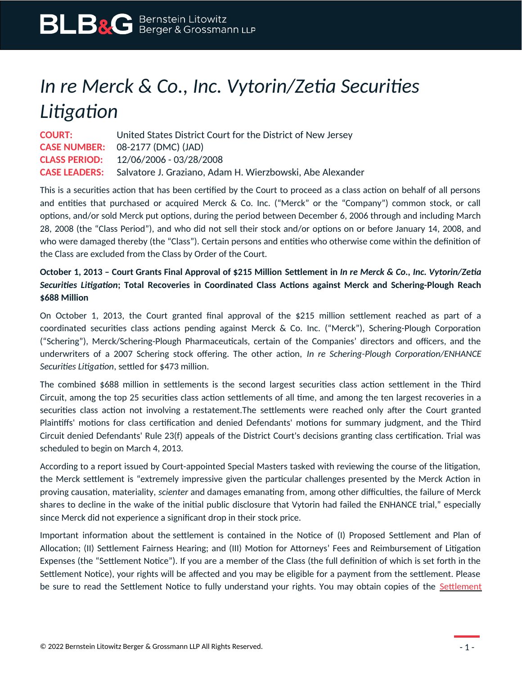# *In re Merck & Co., Inc. Vytorin/Zetia Securities Litigation*

| <b>COURT:</b>        | United States District Court for the District of New Jersey                    |
|----------------------|--------------------------------------------------------------------------------|
|                      | <b>CASE NUMBER:</b> 08-2177 (DMC) (JAD)                                        |
| <b>CLASS PERIOD:</b> | 12/06/2006 - 03/28/2008                                                        |
|                      | <b>CASE LEADERS:</b> Salvatore J. Graziano, Adam H. Wierzbowski, Abe Alexander |

This is a securities action that has been certified by the Court to proceed as a class action on behalf of all persons and entities that purchased or acquired Merck & Co. Inc. ("Merck" or the "Company") common stock, or call options, and/or sold Merck put options, during the period between December 6, 2006 through and including March 28, 2008 (the "Class Period"), and who did not sell their stock and/or options on or before January 14, 2008, and who were damaged thereby (the "Class"). Certain persons and entities who otherwise come within the definition of the Class are excluded from the Class by Order of the Court.

## **October 1, 2013 – Court Grants Final Approval of \$215 Million Settlement in** *In re Merck & Co., Inc. Vytorin/Zetia Securities Litigation***; Total Recoveries in Coordinated Class Actions against Merck and Schering-Plough Reach \$688 Million**

On October 1, 2013, the Court granted final approval of the \$215 million settlement reached as part of a coordinated securities class actions pending against Merck & Co. Inc. ("Merck"), Schering-Plough Corporation ("Schering"), Merck/Schering-Plough Pharmaceuticals, certain of the Companies' directors and officers, and the underwriters of a 2007 Schering stock offering. The other action, *In re Schering-Plough Corporation/ENHANCE Securities Litigation*, settled for \$473 million.

The combined \$688 million in settlements is the second largest securities class action settlement in the Third Circuit, among the top 25 securities class action settlements of all time, and among the ten largest recoveries in a securities class action not involving a restatement.The settlements were reached only after the Court granted Plaintiffs' motions for class certification and denied Defendants' motions for summary judgment, and the Third Circuit denied Defendants' Rule 23(f) appeals of the District Court's decisions granting class certification. Trial was scheduled to begin on March 4, 2013.

According to a report issued by Court-appointed Special Masters tasked with reviewing the course of the litigation, the Merck settlement is "extremely impressive given the particular challenges presented by the Merck Action in proving causation, materiality, *scienter* and damages emanating from, among other difficulties, the failure of Merck shares to decline in the wake of the initial public disclosure that Vytorin had failed the ENHANCE trial," especially since Merck did not experience a significant drop in their stock price.

Important information about the settlement is contained in the Notice of (I) Proposed Settlement and Plan of Allocation; (II) Settlement Fairness Hearing; and (III) Motion for Attorneys' Fees and Reimbursement of Litigation Expenses (the "Settlement Notice"). If you are a member of the Class (the full definition of which is set forth in the Settlement Notice), your rights will be affected and you may be eligible for a payment from the settlement. Please be sure to read the [Settlement](https://www.blbglaw.com/cases/merck-co-inc-vytorin-related/_res/id=Attachments/index=0/Merck%20-%20Notice%20-%20FINAL.pdf) Notice to fully understand your rights. You may obtain copies of the Settlement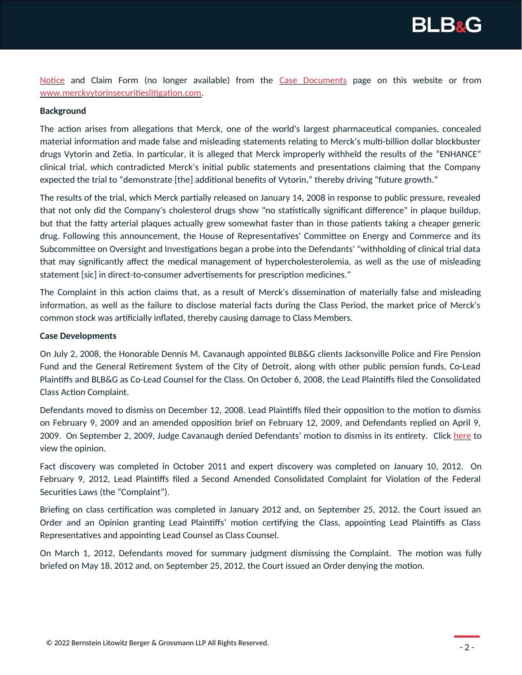

[Notice](https://www.blbglaw.com/cases/merck-co-inc-vytorin-related/_res/id=Attachments/index=0/Merck%20-%20Notice%20-%20FINAL.pdf) and Claim Form (no longer available) from the [Case Documents](https://www.blbglaw.com/cases/merck-co-inc-vytorin-related?viewDocs=1) page on this website or from [www.merckvytorinsecuritieslitigation.com](http://www.merckvytorinsecuritieslitigation.com/).

### **Background**

The action arises from allegations that Merck, one of the world's largest pharmaceutical companies, concealed material information and made false and misleading statements relating to Merck's multi-billion dollar blockbuster drugs Vytorin and Zetia. In particular, it is alleged that Merck improperly withheld the results of the "ENHANCE" clinical trial, which contradicted Merck's initial public statements and presentations claiming that the Company expected the trial to "demonstrate [the] additional benefits of Vytorin," thereby driving "future growth."

The results of the trial, which Merck partially released on January 14, 2008 in response to public pressure, revealed that not only did the Company's cholesterol drugs show "no statistically significant difference" in plaque buildup, but that the fatty arterial plaques actually grew somewhat faster than in those patients taking a cheaper generic drug. Following this announcement, the House of Representatives' Committee on Energy and Commerce and its Subcommittee on Oversight and Investigations began a probe into the Defendants' "withholding of clinical trial data that may significantly affect the medical management of hypercholesterolemia, as well as the use of misleading statement [sic] in direct-to-consumer advertisements for prescription medicines."

The Complaint in this action claims that, as a result of Merck's dissemination of materially false and misleading information, as well as the failure to disclose material facts during the Class Period, the market price of Merck's common stock was artificially inflated, thereby causing damage to Class Members.

#### **Case Developments**

On July 2, 2008, the Honorable Dennis M. Cavanaugh appointed BLB&G clients Jacksonville Police and Fire Pension Fund and the General Retirement System of the City of Detroit, along with other public pension funds, Co-Lead Plaintiffs and BLB&G as Co-Lead Counsel for the Class. On October 6, 2008, the Lead Plaintiffs filed the Consolidated Class Action Complaint.

Defendants moved to dismiss on December 12, 2008. Lead Plaintiffs filed their opposition to the motion to dismiss on February 9, 2009 and an amended opposition brief on February 12, 2009, and Defendants replied on April 9, 2009. On September 2, 2009, Judge Cavanaugh denied Defendants' motion to dismiss in its entirety. Click [here](https://www.blbglaw.com/misc_files/MerckVytorinMTDOpinion.pdf) to view the opinion.

Fact discovery was completed in October 2011 and expert discovery was completed on January 10, 2012. On February 9, 2012, Lead Plaintiffs filed a Second Amended Consolidated Complaint for Violation of the Federal Securities Laws (the "Complaint").

Briefing on class certification was completed in January 2012 and, on September 25, 2012, the Court issued an Order and an Opinion granting Lead Plaintiffs' motion certifying the Class, appointing Lead Plaintiffs as Class Representatives and appointing Lead Counsel as Class Counsel.

On March 1, 2012, Defendants moved for summary judgment dismissing the Complaint. The motion was fully briefed on May 18, 2012 and, on September 25, 2012, the Court issued an Order denying the motion.